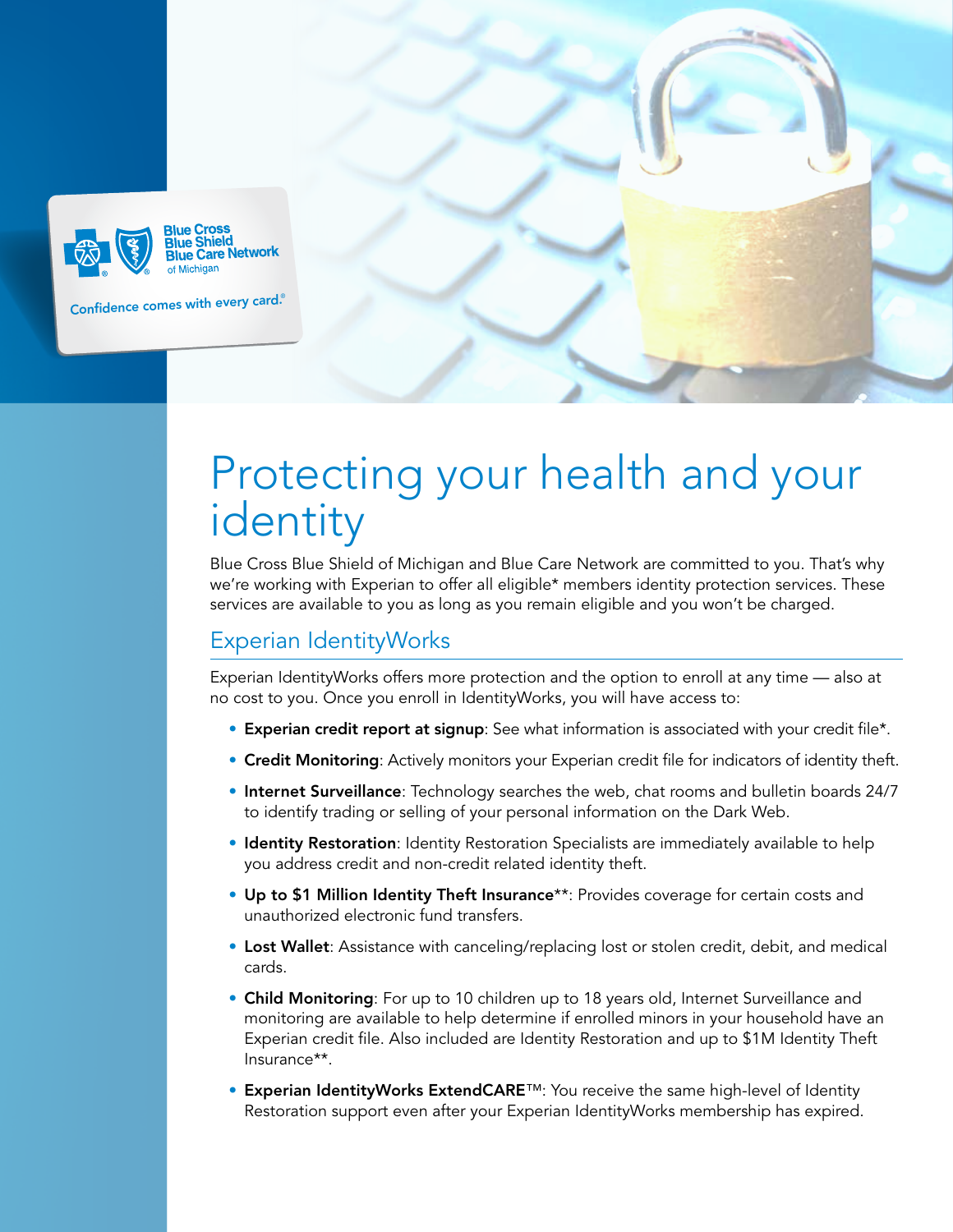

# Protecting your health and your identity

Blue Cross Blue Shield of Michigan and Blue Care Network are committed to you. That's why we're working with Experian to offer all eligible\* members identity protection services. These services are available to you as long as you remain eligible and you won't be charged.

## Experian IdentityWorks

Experian IdentityWorks offers more protection and the option to enroll at any time — also at no cost to you. Once you enroll in IdentityWorks, you will have access to:

- Experian credit report at signup: See what information is associated with your credit file\*.
- **Credit Monitoring**: Actively monitors your Experian credit file for indicators of identity theft.
- Internet Surveillance: Technology searches the web, chat rooms and bulletin boards 24/7 to identify trading or selling of your personal information on the Dark Web.
- Identity Restoration: Identity Restoration Specialists are immediately available to help you address credit and non-credit related identity theft.
- Up to \$1 Million Identity Theft Insurance\*\*: Provides coverage for certain costs and unauthorized electronic fund transfers.
- Lost Wallet: Assistance with canceling/replacing lost or stolen credit, debit, and medical cards.
- Child Monitoring: For up to 10 children up to 18 years old, Internet Surveillance and monitoring are available to help determine if enrolled minors in your household have an Experian credit file. Also included are Identity Restoration and up to \$1M Identity Theft Insurance\*\*.
- Experian IdentityWorks ExtendCARE™: You receive the same high-level of Identity Restoration support even after your Experian IdentityWorks membership has expired.